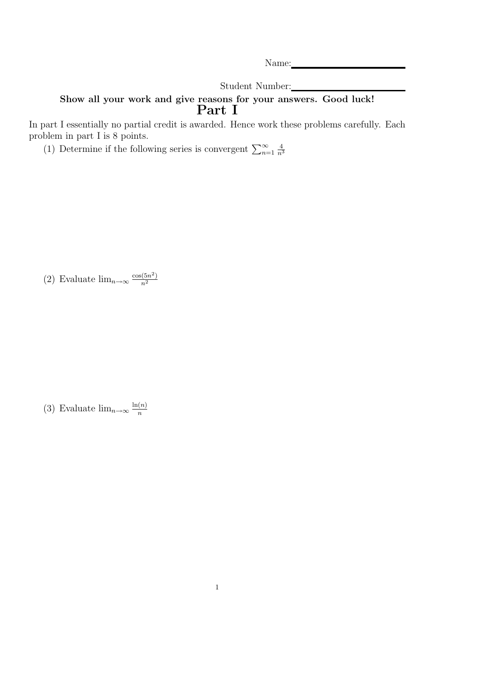Name:

Student Number:

## Show all your work and give reasons for your answers. Good luck! Part I

In part I essentially no partial credit is awarded. Hence work these problems carefully. Each problem in part I is 8 points.

(1) Determine if the following series is convergent  $\sum_{n=1}^{\infty}$ 4  $\overline{n}^3$ 

(2) Evaluate  $\lim_{n\to\infty} \frac{\cos(5n^2)}{n^2}$  $n<sup>2</sup>$ 

(3) Evaluate  $\lim_{n\to\infty} \frac{\ln(n)}{n}$ n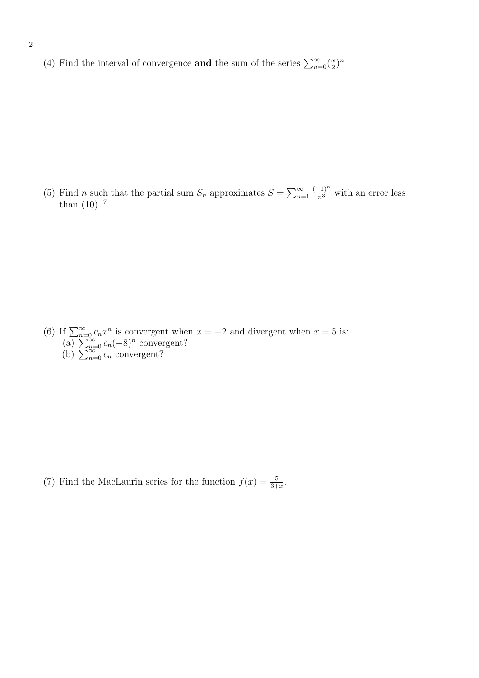(4) Find the interval of convergence **and** the sum of the series  $\sum_{n=0}^{\infty}(\frac{x}{2})$  $\frac{x}{2}$ <sup>n</sup>

(5) Find *n* such that the partial sum  $S_n$  approximates  $S = \sum_{n=1}^{\infty}$  $\frac{(-1)^n}{n^3}$  with an error less than  $(10)^{-7}$ .

(6) If  $\sum_{n=0}^{\infty} c_n x^n$  is convergent when  $x = -2$  and divergent when  $x = 5$  is: (a)  $\sum_{n=0}^{n=\infty} c_n(-8)^n$  convergent? (b)  $\sum_{n=0}^{\infty} c_n$  convergent?

(7) Find the MacLaurin series for the function  $f(x) = \frac{5}{3+x}$ .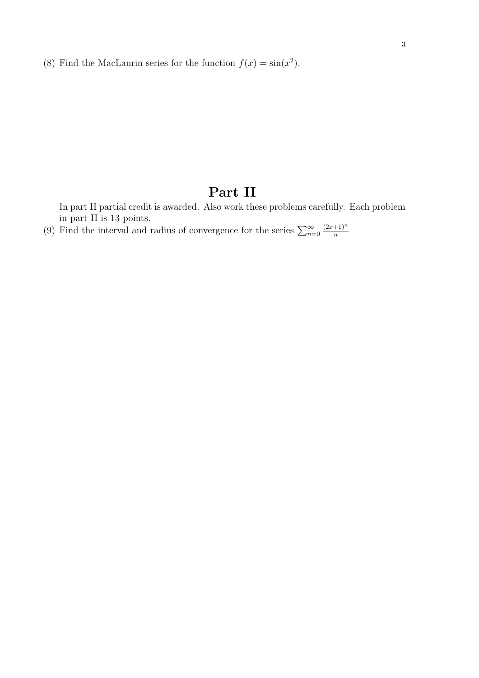(8) Find the MacLaurin series for the function  $f(x) = \sin(x^2)$ .

## Part II

In part II partial credit is awarded. Also work these problems carefully. Each problem in part II is 13 points.

(9) Find the interval and radius of convergence for the series  $\sum_{n=0}^{\infty}$  $(2x+1)^n$ n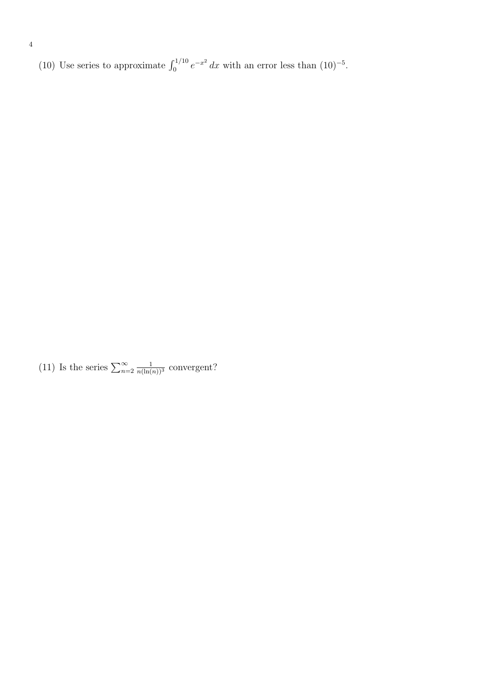(10) Use series to approximate  $\int_0^{1/10} e^{-x^2} dx$  with an error less than  $(10)^{-5}$ .

(11) Is the series  $\sum_{n=2}^{\infty}$  $\frac{1}{n(\ln(n))^3}$  convergent?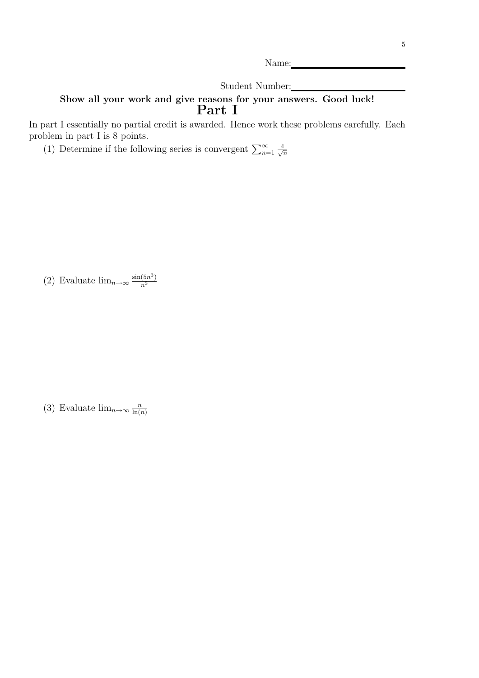Name:

Student Number:

## Show all your work and give reasons for your answers. Good luck! Part I

In part I essentially no partial credit is awarded. Hence work these problems carefully. Each problem in part I is 8 points.

(1) Determine if the following series is convergent  $\sum_{n=1}^{\infty} \frac{4}{\sqrt{n}}$  $\overline{n}$ 

(2) Evaluate  $\lim_{n\to\infty} \frac{\sin(5n^3)}{n^3}$  $\overline{n^3}$ 

(3) Evaluate  $\lim_{n\to\infty} \frac{n}{\ln(n)}$  $ln(n)$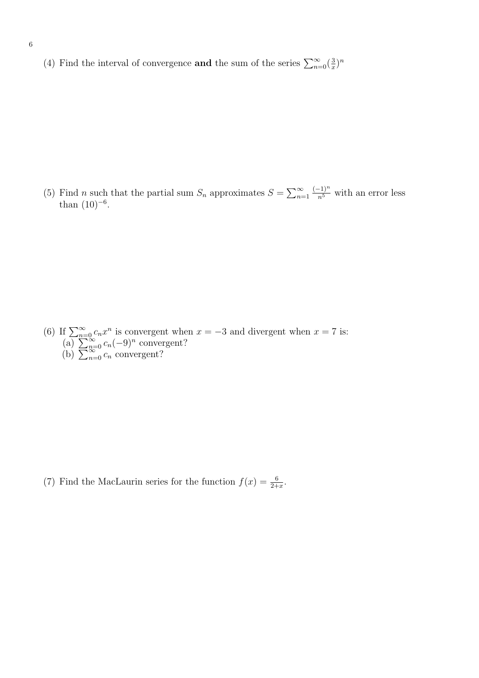(4) Find the interval of convergence **and** the sum of the series  $\sum_{n=0}^{\infty}(\frac{3}{x})$  $\frac{3}{x}$ <sup>n</sup>

(5) Find *n* such that the partial sum  $S_n$  approximates  $S = \sum_{n=1}^{\infty}$  $\frac{(-1)^n}{n^5}$  with an error less than  $(10)^{-6}$ .

(6) If  $\sum_{n=0}^{\infty} c_n x^n$  is convergent when  $x = -3$  and divergent when  $x = 7$  is: (a)  $\sum_{n=0}^{n=\infty} c_n(-9)^n$  convergent? (b)  $\sum_{n=0}^{\infty} c_n$  convergent?

(7) Find the MacLaurin series for the function  $f(x) = \frac{6}{2+x}$ .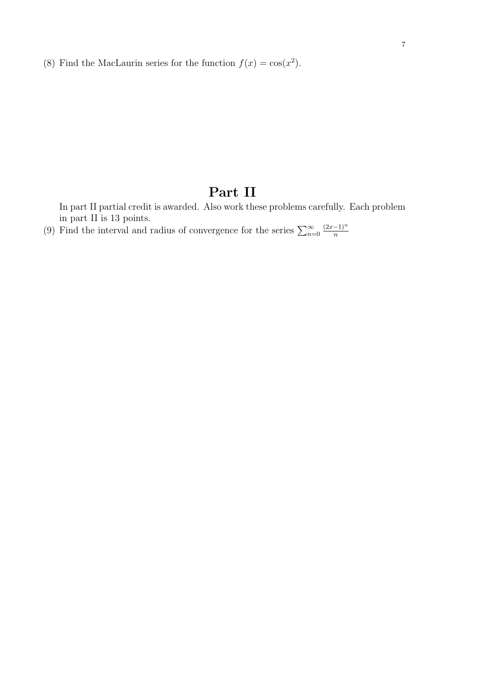(8) Find the MacLaurin series for the function  $f(x) = \cos(x^2)$ .

## Part II

In part II partial credit is awarded. Also work these problems carefully. Each problem in part II is 13 points.

(9) Find the interval and radius of convergence for the series  $\sum_{n=0}^{\infty}$  $(2x-1)^n$ n